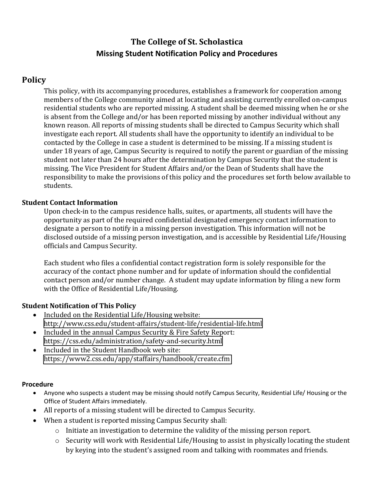# **The College of St. Scholastica Missing Student Notification Policy and Procedures**

## **Policy**

This policy, with its accompanying procedures, establishes a framework for cooperation among members of the College community aimed at locating and assisting currently enrolled on-campus residential students who are reported missing. A student shall be deemed missing when he or she is absent from the College and/or has been reported missing by another individual without any known reason. All reports of missing students shall be directed to Campus Security which shall investigate each report. All students shall have the opportunity to identify an individual to be contacted by the College in case a student is determined to be missing. If a missing student is under 18 years of age, Campus Security is required to notify the parent or guardian of the missing student not later than 24 hours after the determination by Campus Security that the student is missing. The Vice President for Student Affairs and/or the Dean of Students shall have the responsibility to make the provisions of this policy and the procedures set forth below available to students.

#### **Student Contact Information**

Upon check-in to the campus residence halls, suites, or apartments, all students will have the opportunity as part of the required confidential designated emergency contact information to designate a person to notify in a missing person investigation. This information will not be disclosed outside of a missing person investigation, and is accessible by Residential Life/Housing officials and Campus Security.

Each student who files a confidential contact registration form is solely responsible for the accuracy of the contact phone number and for update of information should the confidential contact person and/or number change. A student may update information by filing a new form with the Office of Residential Life/Housing.

### **Student Notification of This Policy**

- Included on the Residential Life/Housing website: <http://www.css.edu/student-affairs/student-life/residential-life.html>
- Included in the annual Campus Security & Fire Safety Report: <https://css.edu/administration/safety-and-security.html>
- Included in the Student Handbook web site: <https://www2.css.edu/app/staffairs/handbook/create.cfm>

#### **Procedure**

- Anyone who suspects a student may be missing should notify Campus Security, Residential Life/ Housing or the Office of Student Affairs immediately.
- All reports of a missing student will be directed to Campus Security.
- When a student is reported missing Campus Security shall:
	- o Initiate an investigation to determine the validity of the missing person report.
	- o Security will work with Residential Life/Housing to assist in physically locating the student by keying into the student's assigned room and talking with roommates and friends.